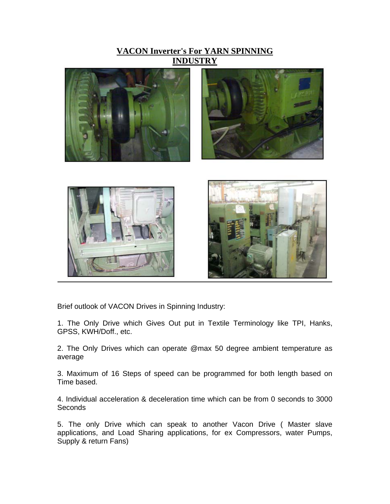**VACON Inverter's For YARN SPINNING INDUSTRY**







Brief outlook of VACON Drives in Spinning Industry:

1. The Only Drive which Gives Out put in Textile Terminology like TPI, Hanks, GPSS, KWH/Doff., etc.

2. The Only Drives which can operate @max 50 degree ambient temperature as average

3. Maximum of 16 Steps of speed can be programmed for both length based on Time based.

4. Individual acceleration & deceleration time which can be from 0 seconds to 3000 Seconds

5. The only Drive which can speak to another Vacon Drive ( Master slave applications, and Load Sharing applications, for ex Compressors, water Pumps, Supply & return Fans)